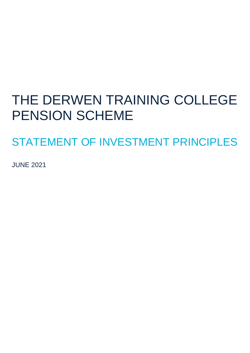# THE DERWEN TRAINING COLLEGE PENSION SCHEME

STATEMENT OF INVESTMENT PRINCIPLES

JUNE 2021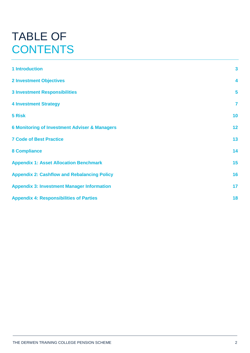## TABLE OF **CONTENTS**

| <b>1 Introduction</b>                                    | $\overline{\mathbf{3}}$ |
|----------------------------------------------------------|-------------------------|
| <b>2 Investment Objectives</b>                           | $\overline{\mathbf{4}}$ |
| <b>3 Investment Responsibilities</b>                     | 5                       |
| <b>4 Investment Strategy</b>                             | $\overline{\mathbf{r}}$ |
| 5 Risk                                                   | 10                      |
| <b>6 Monitoring of Investment Adviser &amp; Managers</b> | 12                      |
| <b>7 Code of Best Practice</b>                           | 13                      |
| <b>8 Compliance</b>                                      | 14                      |
| <b>Appendix 1: Asset Allocation Benchmark</b>            | 15                      |
| <b>Appendix 2: Cashflow and Rebalancing Policy</b>       | 16                      |
| <b>Appendix 3: Investment Manager Information</b>        | 17                      |
| <b>Appendix 4: Responsibilities of Parties</b>           | 18                      |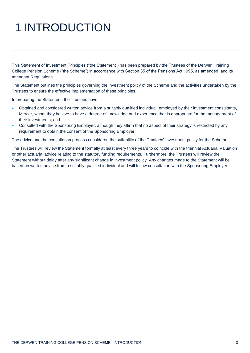# 1 INTRODUCTION

This Statement of Investment Principles ("the Statement") has been prepared by the Trustees of the Derwen Training College Pension Scheme ("the Scheme") in accordance with Section 35 of the Pensions Act 1995, as amended, and its attendant Regulations.

The Statement outlines the principles governing the investment policy of the Scheme and the activities undertaken by the Trustees to ensure the effective implementation of these principles.

In preparing the Statement, the Trustees have:

- Obtained and considered written advice from a suitably qualified individual, employed by their investment consultants, Mercer, whom they believe to have a degree of knowledge and experience that is appropriate for the management of their investments; and
- Consulted with the Sponsoring Employer, although they affirm that no aspect of their strategy is restricted by any requirement to obtain the consent of the Sponsoring Employer.

The advice and the consultation process considered the suitability of the Trustees' investment policy for the Scheme.

The Trustees will review the Statement formally at least every three years to coincide with the triennial Actuarial Valuation or other actuarial advice relating to the statutory funding requirements. Furthermore, the Trustees will review the Statement without delay after any significant change in investment policy. Any changes made to the Statement will be based on written advice from a suitably qualified individual and will follow consultation with the Sponsoring Employer.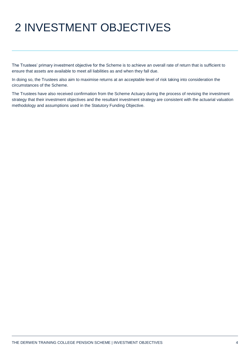# 2 INVESTMENT OBJECTIVES

The Trustees' primary investment objective for the Scheme is to achieve an overall rate of return that is sufficient to ensure that assets are available to meet all liabilities as and when they fall due.

In doing so, the Trustees also aim to maximise returns at an acceptable level of risk taking into consideration the circumstances of the Scheme.

The Trustees have also received confirmation from the Scheme Actuary during the process of revising the investment strategy that their investment objectives and the resultant investment strategy are consistent with the actuarial valuation methodology and assumptions used in the Statutory Funding Objective.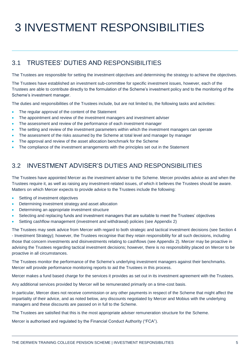# 3 INVESTMENT RESPONSIBILITIES

## 3.1 TRUSTEES' DUTIES AND RESPONSIBILITIES

The Trustees are responsible for setting the investment objectives and determining the strategy to achieve the objectives.

The Trustees have established an investment sub-committee for specific investment issues, however, each of the Trustees are able to contribute directly to the formulation of the Scheme's investment policy and to the monitoring of the Scheme's investment manager.

The duties and responsibilities of the Trustees include, but are not limited to, the following tasks and activities:

- The regular approval of the content of the Statement
- The appointment and review of the investment managers and investment adviser
- The assessment and review of the performance of each investment manager
- The setting and review of the investment parameters within which the investment managers can operate
- The assessment of the risks assumed by the Scheme at total level and manager by manager
- The approval and review of the asset allocation benchmark for the Scheme
- The compliance of the investment arrangements with the principles set out in the Statement

### 3.2 INVESTMENT ADVISER'S DUTIES AND RESPONSIBILITIES

The Trustees have appointed Mercer as the investment adviser to the Scheme. Mercer provides advice as and when the Trustees require it, as well as raising any investment-related issues, of which it believes the Trustees should be aware. Matters on which Mercer expects to provide advice to the Trustees include the following:

- Setting of investment objectives
- Determining investment strategy and asset allocation
- Determining an appropriate investment structure
- Selecting and replacing funds and investment managers that are suitable to meet the Trustees' objectives
- Setting cashflow management (investment and withdrawal) policies (see Appendix 2)

The Trustees may seek advice from Mercer with regard to both strategic and tactical investment decisions (see Section 4 - Investment Strategy); however, the Trustees recognise that they retain responsibility for all such decisions, including those that concern investments and disinvestments relating to cashflows (see Appendix 2). Mercer may be proactive in advising the Trustees regarding tactical investment decisions; however, there is no responsibility placed on Mercer to be proactive in all circumstances.

The Trustees monitor the performance of the Scheme's underlying investment managers against their benchmarks. Mercer will provide performance monitoring reports to aid the Trustees in this process.

Mercer makes a fund based charge for the services it provides as set out in its investment agreement with the Trustees.

Any additional services provided by Mercer will be remunerated primarily on a time-cost basis.

In particular, Mercer does not receive commission or any other payments in respect of the Scheme that might affect the impartiality of their advice, and as noted below, any discounts negotiated by Mercer and Mobius with the underlying managers and these discounts are passed on in full to the Scheme.

The Trustees are satisfied that this is the most appropriate adviser remuneration structure for the Scheme.

Mercer is authorised and regulated by the Financial Conduct Authority ("FCA").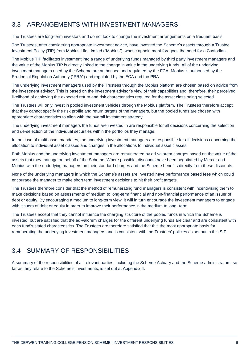## 3.3 ARRANGEMENTS WITH INVESTMENT MANAGERS

The Trustees are long-term investors and do not look to change the investment arrangements on a frequent basis.

The Trustees, after considering appropriate investment advice, have invested the Scheme's assets through a Trustee Investment Policy (TIP) from Mobius Life Limited ("Mobius"), whose appointment foregoes the need for a Custodian.

The Mobius TIP facilitates investment into a range of underlying funds managed by third party investment managers and the value of the Mobius TIP is directly linked to the change in value in the underlying funds. All of the underlying investment managers used by the Scheme are authorised and regulated by the FCA. Mobius is authorised by the Prudential Regulation Authority ("PRA") and regulated by the FCA and the PRA.

The underlying investment managers used by the Trustees through the Mobius platform are chosen based on advice from the investment advisor. This is based on the investment advisor's view of their capabilities and, therefore, their perceived likelihood of achieving the expected return and risk characteristics required for the asset class being selected.

The Trustees will only invest in pooled investment vehicles through the Mobius platform. The Trustees therefore accept that they cannot specify the risk profile and return targets of the managers, but the pooled funds are chosen with appropriate characteristics to align with the overall investment strategy.

The underlying investment managers the funds are invested in are responsible for all decisions concerning the selection and de-selection of the individual securities within the portfolios they manage.

In the case of multi-asset mandates, the underlying investment managers are responsible for all decisions concerning the allocation to individual asset classes and changes in the allocations to individual asset classes.

Both Mobius and the underlying investment managers are remunerated by ad-valorem charges based on the value of the assets that they manage on behalf of the Scheme. Where possible, discounts have been negotiated by Mercer and Mobius with the underlying managers on their standard charges and the Scheme benefits directly from these discounts.

None of the underlying managers in which the Scheme's assets are invested have performance based fees which could encourage the manager to make short term investment decisions to hit their profit targets.

The Trustees therefore consider that the method of remunerating fund managers is consistent with incentivising them to make decisions based on assessments of medium to long-term financial and non-financial performance of an issuer of debt or equity. By encouraging a medium to long-term view, it will in turn encourage the investment managers to engage with issuers of debt or equity in order to improve their performance in the medium to long- term.

The Trustees accept that they cannot influence the charging structure of the pooled funds in which the Scheme is invested, but are satisfied that the ad-valorem charges for the different underlying funds are clear and are consistent with each fund's stated characteristics. The Trustees are therefore satisfied that this the most appropriate basis for remunerating the underlying investment managers and is consistent with the Trustees' policies as set out in this SIP.

## 3.4 SUMMARY OF RESPONSIBILITIES

A summary of the responsibilities of all relevant parties, including the Scheme Actuary and the Scheme administrators, so far as they relate to the Scheme's investments, is set out at Appendix 4.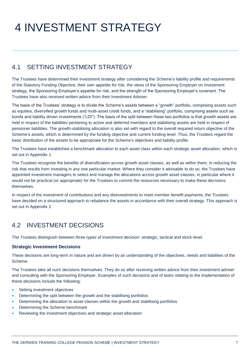# 4 INVESTMENT STRATEGY

## 4.1 SETTING INVESTMENT STRATEGY

The Trustees have determined their investment strategy after considering the Scheme's liability profile and requirements of the Statutory Funding Objective, their own appetite for risk, the views of the Sponsoring Employer on investment strategy, the Sponsoring Employer's appetite for risk, and the strength of the Sponsoring Employer's covenant. The Trustees have also received written advice from their Investment Adviser.

The basis of the Trustees' strategy is to divide the Scheme's assets between a "growth" portfolio, comprising assets such as equities, diversified growth funds and multi-asset credit funds, and a "stabilising" portfolio, comprising assets such as bonds and liability driven investments ("LDI"). The basis of the split between these two portfolios is that growth assets are held in respect of the liabilities pertaining to active and deferred members and stabilising assets are held in respect of pensioner liabilities. The growth-stabilising allocation is also set with regard to the overall required return objective of the Scheme's assets, which is determined by the funding objective and current funding level. Thus, the Trustees regard the basic distribution of the assets to be appropriate for the Scheme's objectives and liability profile.

The Trustees have established a benchmark allocation to each asset class within each strategic asset allocation, which is set out in Appendix 1.

The Trustees recognise the benefits of diversification across growth asset classes, as well as within them, in reducing the risk that results from investing in any one particular market. Where they consider it advisable to do so, the Trustees have appointed investment managers to select and manage the allocations across growth asset classes, in particular where it would not be practical (or appropriate) for the Trustees to commit the resources necessary to make these decisions themselves.

In respect of the investment of contributions and any disinvestments to meet member benefit payments, the Trustees have decided on a structured approach to rebalance the assets in accordance with their overall strategy. This approach is set out in Appendix 2.

## 4.2 INVESTMENT DECISIONS

The Trustees distinguish between three types of investment decision: strategic, tactical and stock-level.

#### **Strategic Investment Decisions**

These decisions are long-term in nature and are driven by an understanding of the objectives, needs and liabilities of the Scheme.

The Trustees take all such decisions themselves. They do so after receiving written advice from their investment adviser and consulting with the Sponsoring Employer. Examples of such decisions and of tasks relating to the implementation of these decisions include the following:

- Setting investment objectives
- Determining the split between the growth and the stabilising portfolios
- Determining the allocation to asset classes within the growth and stabilising portfolios
- Determining the Scheme benchmark
- Reviewing the investment objectives and strategic asset allocation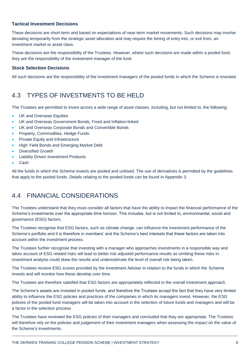#### **Tactical Investment Decisions**

These decisions are short-term and based on expectations of near-term market movements. Such decisions may involve deviating temporarily from the strategic asset allocation and may require the timing of entry into, or exit from, an investment market or asset class.

These decisions are the responsibility of the Trustees. However, where such decisions are made within a pooled fund, they are the responsibility of the investment manager of the fund.

#### **Stock Selection Decisions**

All such decisions are the responsibility of the investment managers of the pooled funds in which the Scheme is invested.

## 4.3 TYPES OF INVESTMENTS TO BE HELD

The Trustees are permitted to invest across a wide range of asset classes, including, but not limited to, the following:

- UK and Overseas Equities
- UK and Overseas Government Bonds, Fixed and Inflation-linked
- UK and Overseas Corporate Bonds and Convertible Bonds
- Property, Commodities, Hedge Funds
- Private Equity and Infrastructure
- High Yield Bonds and Emerging Market Debt
- Diversified Growth
- Liability Driven Investment Products
- Cash

All the funds in which the Scheme invests are pooled and unitised. The use of derivatives is permitted by the guidelines that apply to the pooled funds. Details relating to the pooled funds can be found in Appendix 3.

### 4.4 FINANCIAL CONSIDERATIONS

The Trustees understand that they must consider all factors that have the ability to impact the financial performance of the Scheme's investments over the appropriate time horizon. This includes, but is not limited to, environmental, social and governance (ESG) factors.

The Trustees recognise that ESG factors, such as climate change, can influence the investment performance of the Scheme's portfolio and it is therefore in members' and the Scheme's best interests that these factors are taken into account within the investment process.

The Trustees further recognise that investing with a manager who approaches investments in a responsible way and takes account of ESG related risks will lead to better risk adjusted performance results as omitting these risks in investment analysis could skew the results and underestimate the level of overall risk being taken.

The Trustees receive ESG scores provided by the Investment Adviser in relation to the funds in which the Scheme invests and will monitor how these develop over time.

The Trustees are therefore satisfied that ESG factors are appropriately reflected in the overall investment approach.

The Scheme's assets are invested in pooled funds, and therefore the Trustees accept the fact that they have very limited ability to influence the ESG policies and practices of the companies in which its managers invest. However, the ESG policies of the pooled fund managers will be taken into account in the selection of future funds and managers and will be a factor in the selection process

The Trustees have reviewed the ESG policies of their managers and concluded that they are appropriate. The Trustees will therefore rely on the policies and judgement of their investment managers when assessing the impact on the value of the Scheme's investments.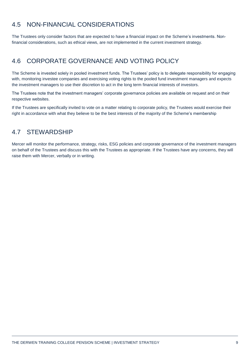## 4.5 NON-FINANCIAL CONSIDERATIONS

The Trustees only consider factors that are expected to have a financial impact on the Scheme's investments. Nonfinancial considerations, such as ethical views, are not implemented in the current investment strategy.

## 4.6 CORPORATE GOVERNANCE AND VOTING POLICY

The Scheme is invested solely in pooled investment funds. The Trustees' policy is to delegate responsibility for engaging with, monitoring investee companies and exercising voting rights to the pooled fund investment managers and expects the investment managers to use their discretion to act in the long term financial interests of investors.

The Trustees note that the investment managers' corporate governance policies are available on request and on their respective websites.

If the Trustees are specifically invited to vote on a matter relating to corporate policy, the Trustees would exercise their right in accordance with what they believe to be the best interests of the majority of the Scheme's membership

### 4.7 STEWARDSHIP

Mercer will monitor the performance, strategy, risks, ESG policies and corporate governance of the investment managers on behalf of the Trustees and discuss this with the Trustees as appropriate. If the Trustees have any concerns, they will raise them with Mercer, verbally or in writing.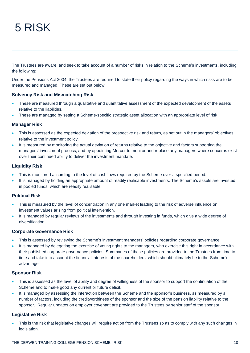## 5 RISK

The Trustees are aware, and seek to take account of a number of risks in relation to the Scheme's investments, including the following:

Under the Pensions Act 2004, the Trustees are required to state their policy regarding the ways in which risks are to be measured and managed. These are set out below.

#### **Solvency Risk and Mismatching Risk**

- These are measured through a qualitative and quantitative assessment of the expected development of the assets relative to the liabilities.
- These are managed by setting a Scheme-specific strategic asset allocation with an appropriate level of risk.

#### **Manager Risk**

- This is assessed as the expected deviation of the prospective risk and return, as set out in the managers' objectives, relative to the investment policy.
- It is measured by monitoring the actual deviation of returns relative to the objective and factors supporting the managers' investment process, and by appointing Mercer to monitor and replace any managers where concerns exist over their continued ability to deliver the investment mandate.

#### **Liquidity Risk**

- This is monitored according to the level of cashflows required by the Scheme over a specified period.
- It is managed by holding an appropriate amount of readily realisable investments. The Scheme's assets are invested in pooled funds, which are readily realisable.

#### **Political Risk**

- This is measured by the level of concentration in any one market leading to the risk of adverse influence on investment values arising from political intervention.
- It is managed by regular reviews of the investments and through investing in funds, which give a wide degree of diversification.

#### **Corporate Governance Risk**

- This is assessed by reviewing the Scheme's investment managers' policies regarding corporate governance.
- It is managed by delegating the exercise of voting rights to the managers, who exercise this right in accordance with their published corporate governance policies. Summaries of these policies are provided to the Trustees from time to time and take into account the financial interests of the shareholders, which should ultimately be to the Scheme's advantage.

#### **Sponsor Risk**

- This is assessed as the level of ability and degree of willingness of the sponsor to support the continuation of the Scheme and to make good any current or future deficit.
- It is managed by assessing the interaction between the Scheme and the sponsor's business, as measured by a number of factors, including the creditworthiness of the sponsor and the size of the pension liability relative to the sponsor. Regular updates on employer covenant are provided to the Trustees by senior staff of the sponsor.

#### **Legislative Risk**

 This is the risk that legislative changes will require action from the Trustees so as to comply with any such changes in legislation.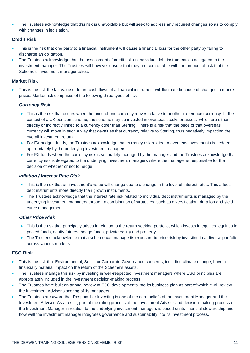The Trustees acknowledge that this risk is unavoidable but will seek to address any required changes so as to comply with changes in legislation.

#### **Credit Risk**

- This is the risk that one party to a financial instrument will cause a financial loss for the other party by failing to discharge an obligation.
- The Trustees acknowledge that the assessment of credit risk on individual debt instruments is delegated to the investment manager. The Trustees will however ensure that they are comfortable with the amount of risk that the Scheme's investment manager takes.

#### **Market Risk**

 This is the risk the fair value of future cash flows of a financial instrument will fluctuate because of changes in market prices. Market risk comprises of the following three types of risk

#### *Currency Risk*

- This is the risk that occurs when the price of one currency moves relative to another (reference) currency. In the context of a UK pension scheme, the scheme may be invested in overseas stocks or assets, which are either directly or indirectly linked to a currency other than Sterling. There is a risk that the price of that overseas currency will move in such a way that devalues that currency relative to Sterling, thus negatively impacting the overall investment return.
- For FX hedged funds, the Trustees acknowledge that currency risk related to overseas investments is hedged appropriately by the underlying investment managers.
- For FX funds where the currency risk is separately managed by the manager and the Trustees acknowledge that currency risk is delegated to the underlying investment managers where the manager is responsible for the decision of whether or not to hedge.

#### *Inflation / Interest Rate Risk*

- This is the risk that an investment's value will change due to a change in the level of interest rates. This affects debt instruments more directly than growth instruments.
- The Trustees acknowledge that the interest rate risk related to individual debt instruments is managed by the underlying investment managers through a combination of strategies, such as diversification, duration and yield curve management.

#### *Other Price Risk*

- This is the risk that principally arises in relation to the return seeking portfolio, which invests in equities, equities in pooled funds, equity futures, hedge funds, private equity and property.
- The Trustees acknowledge that a scheme can manage its exposure to price risk by investing in a diverse portfolio across various markets.

#### **ESG Risk**

- This is the risk that Environmental, Social or Corporate Governance concerns, including climate change, have a financially material impact on the return of the Scheme's assets.
- The Trustees manage this risk by investing in well-respected investment managers where ESG principles are appropriately included in the investment decision-making process.
- The Trustees have built an annual review of ESG developments into its business plan as part of which it will review the Investment Adviser's scoring of its managers.
- The Trustees are aware that Responsible Investing is one of the core beliefs of the Investment Manager and the Investment Adviser. As a result, part of the rating process of the Investment Adviser and decision-making process of the Investment Manager in relation to the underlying investment managers is based on its financial stewardship and how well the investment manager integrates governance and sustainability into its investment process.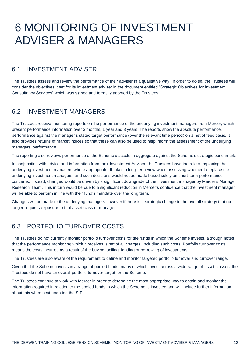## 6 MONITORING OF INVESTMENT ADVISER & MANAGERS

### 6.1 INVESTMENT ADVISER

The Trustees assess and review the performance of their adviser in a qualitative way. In order to do so, the Trustees will consider the objectives it set for its investment adviser in the document entitled "Strategic Objectives for Investment Consultancy Services" which was signed and formally adopted by the Trustees.

## 6.2 INVESTMENT MANAGERS

The Trustees receive monitoring reports on the performance of the underlying investment managers from Mercer, which present performance information over 3 months, 1 year and 3 years. The reports show the absolute performance, performance against the manager's stated target performance (over the relevant time period) on a net of fees basis. It also provides returns of market indices so that these can also be used to help inform the assessment of the underlying managers' performance.

The reporting also reviews performance of the Scheme's assets in aggregate against the Scheme's strategic benchmark.

In conjunction with advice and information from their Investment Adviser, the Trustees have the role of replacing the underlying investment managers where appropriate. It takes a long-term view when assessing whether to replace the underlying investment managers, and such decisions would not be made based solely on short-term performance concerns. Instead, changes would be driven by a significant downgrade of the investment manager by Mercer's Manager Research Team. This in turn would be due to a significant reduction in Mercer's confidence that the investment manager will be able to perform in line with their fund's mandate over the long term.

Changes will be made to the underlying managers however if there is a strategic change to the overall strategy that no longer requires exposure to that asset class or manager.

## 6.3 PORTFOLIO TURNOVER COSTS

The Trustees do not currently monitor portfolio turnover costs for the funds in which the Scheme invests, although notes that the performance monitoring which it receives is net of all charges, including such costs. Portfolio turnover costs means the costs incurred as a result of the buying, selling, lending or borrowing of investments.

The Trustees are also aware of the requirement to define and monitor targeted portfolio turnover and turnover range.

Given that the Scheme invests in a range of pooled funds, many of which invest across a wide range of asset classes, the Trustees do not have an overall portfolio turnover target for the Scheme.

The Trustees continue to work with Mercer in order to determine the most appropriate way to obtain and monitor the information required in relation to the pooled funds in which the Scheme is invested and will include further information about this when next updating the SIP.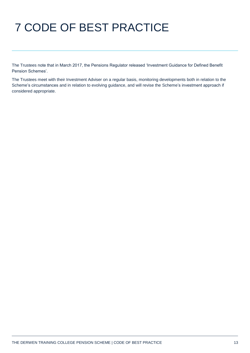# 7 CODE OF BEST PRACTICE

The Trustees note that in March 2017, the Pensions Regulator released 'Investment Guidance for Defined Benefit Pension Schemes'.

The Trustees meet with their Investment Adviser on a regular basis, monitoring developments both in relation to the Scheme's circumstances and in relation to evolving guidance, and will revise the Scheme's investment approach if considered appropriate.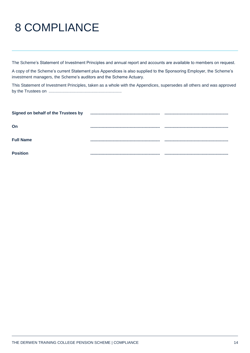# 8 COMPLIANCE

The Scheme's Statement of Investment Principles and annual report and accounts are available to members on request.

A copy of the Scheme's current Statement plus Appendices is also supplied to the Sponsoring Employer, the Scheme's investment managers, the Scheme's auditors and the Scheme Actuary.

This Statement of Investment Principles, taken as a whole with the Appendices, supersedes all others and was approved by the Trustees on ...............................................................

| Signed on behalf of the Trustees by |  |
|-------------------------------------|--|
| On                                  |  |
| <b>Full Name</b>                    |  |
| <b>Position</b>                     |  |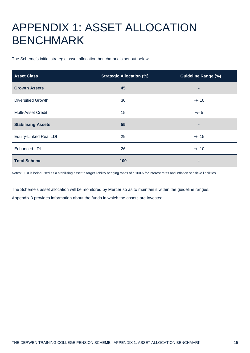## APPENDIX 1: ASSET ALLOCATION BENCHMARK

The Scheme's initial strategic asset allocation benchmark is set out below.

| <b>Asset Class</b>            | <b>Strategic Allocation (%)</b> | <b>Guideline Range (%)</b> |  |
|-------------------------------|---------------------------------|----------------------------|--|
| <b>Growth Assets</b>          | 45                              |                            |  |
| <b>Diversified Growth</b>     | 30                              | $+/- 10$                   |  |
| Multi-Asset Credit            | 15                              | $+/- 5$                    |  |
| <b>Stabilising Assets</b>     | 55                              | ۰                          |  |
| <b>Equity-Linked Real LDI</b> | 29                              | $+/- 15$                   |  |
| Enhanced LDI                  | 26                              | $+/- 10$                   |  |
| <b>Total Scheme</b>           | 100                             |                            |  |

Notes: LDI is being used as a stabilising asset to target liability hedging ratios of c.100% for interest rates and inflation sensitive liabilities.

The Scheme's asset allocation will be monitored by Mercer so as to maintain it within the guideline ranges. Appendix 3 provides information about the funds in which the assets are invested.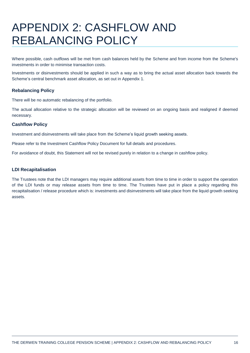## APPENDIX 2: CASHFLOW AND REBALANCING POLICY

Where possible, cash outflows will be met from cash balances held by the Scheme and from income from the Scheme's investments in order to minimise transaction costs.

Investments or disinvestments should be applied in such a way as to bring the actual asset allocation back towards the Scheme's central benchmark asset allocation, as set out in Appendix 1.

#### **Rebalancing Policy**

There will be no automatic rebalancing of the portfolio.

The actual allocation relative to the strategic allocation will be reviewed on an ongoing basis and realigned if deemed necessary.

#### **Cashflow Policy**

Investment and disinvestments will take place from the Scheme's liquid growth seeking assets.

Please refer to the Investment Cashflow Policy Document for full details and procedures.

For avoidance of doubt, this Statement will not be revised purely in relation to a change in cashflow policy.

#### **LDI Recapitalisation**

The Trustees note that the LDI managers may require additional assets from time to time in order to support the operation of the LDI funds or may release assets from time to time. The Trustees have put in place a policy regarding this recapitalisation / release procedure which is: investments and disinvestments will take place from the liquid growth seeking assets.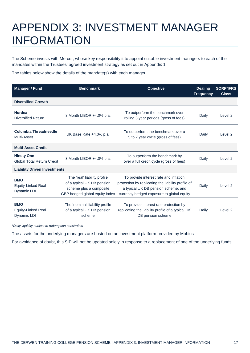## APPENDIX 3: INVESTMENT MANAGER INFORMATION

The Scheme invests with Mercer, whose key responsibility it to appoint suitable investment managers to each of the mandates within the Trustees' agreed investment strategy as set out in Appendix 1.

The tables below show the details of the mandate(s) with each manager.

| <b>Manager / Fund</b>                                  | <b>Benchmark</b>                                                                                                        | <b>Objective</b>                                                                                                                                                                 | <b>Dealing</b><br><b>Frequency</b> | <b>SORP/IFRS</b><br><b>Class</b> |  |  |
|--------------------------------------------------------|-------------------------------------------------------------------------------------------------------------------------|----------------------------------------------------------------------------------------------------------------------------------------------------------------------------------|------------------------------------|----------------------------------|--|--|
| <b>Diversified Growth</b>                              |                                                                                                                         |                                                                                                                                                                                  |                                    |                                  |  |  |
| <b>Nordea</b><br><b>Diversified Return</b>             | 3 Month LIBOR +4.0% p.a.                                                                                                | To outperform the benchmark over<br>rolling 3 year periods (gross of fees)                                                                                                       | Daily                              | Level 2                          |  |  |
| Columbia Threadneedle<br>Multi-Asset                   | UK Base Rate +4.0% p.a.                                                                                                 | To outperform the benchmark over a<br>5 to 7 year cycle (gross of fess)                                                                                                          | Daily                              | Level 2                          |  |  |
| <b>Multi-Asset Credit</b>                              |                                                                                                                         |                                                                                                                                                                                  |                                    |                                  |  |  |
| <b>Ninety One</b><br><b>Global Total Return Credit</b> | 3 Month LIBOR +4.0% p.a.                                                                                                | To outperform the benchmark by<br>over a full credit cycle (gross of fees)                                                                                                       | Daily                              | Level 2                          |  |  |
| <b>Liability Driven Investments</b>                    |                                                                                                                         |                                                                                                                                                                                  |                                    |                                  |  |  |
| <b>BMO</b><br><b>Equity-Linked Real</b><br>Dynamic LDI | The 'real' liability profile<br>of a typical UK DB pension<br>scheme plus a composite<br>GBP hedged global equity index | To provide interest rate and inflation<br>protection by replicating the liability profile of<br>a typical UK DB pension scheme, and<br>currency hedged exposure to global equity | Daily                              | Level 2                          |  |  |
| <b>BMO</b><br>Equity-Linked Real<br>Dynamic LDI        | The 'nominal' liability profile<br>of a typical UK DB pension<br>scheme                                                 | To provide interest rate protection by<br>replicating the liability profile of a typical UK<br>DB pension scheme                                                                 | Daily                              | Level 2                          |  |  |

*\*Daily liquidity subject to redemption constraints*

The assets for the underlying managers are hosted on an investment platform provided by Mobius.

For avoidance of doubt, this SIP will not be updated solely in response to a replacement of one of the underlying funds.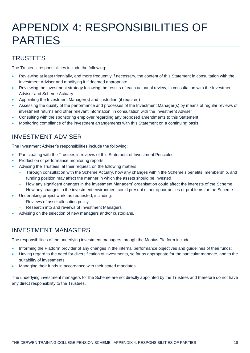## APPENDIX 4: RESPONSIBILITIES OF PARTIES

## **TRUSTEES**

The Trustees' responsibilities include the following:

- Reviewing at least triennially, and more frequently if necessary, the content of this Statement in consultation with the Investment Adviser and modifying it if deemed appropriate
- Reviewing the investment strategy following the results of each actuarial review, in consultation with the Investment Adviser and Scheme Actuary
- Appointing the Investment Manager(s) and custodian (if required)
- Assessing the quality of the performance and processes of the Investment Manager(s) by means of regular reviews of investment returns and other relevant information, in consultation with the Investment Adviser
- Consulting with the sponsoring employer regarding any proposed amendments to this Statement
- Monitoring compliance of the investment arrangements with this Statement on a continuing basis

## INVESTMENT ADVISER

The Investment Adviser's responsibilities include the following:

- Participating with the Trustees in reviews of this Statement of Investment Principles
- Production of performance monitoring reports
- Advising the Trustees, at their request, on the following matters:
	- Through consultation with the Scheme Actuary, how any changes within the Scheme's benefits, membership, and funding position may affect the manner in which the assets should be invested
	- How any significant changes in the Investment Managers' organisation could affect the interests of the Scheme
	- How any changes in the investment environment could present either opportunities or problems for the Scheme
- Undertaking project work, as requested, including:
	- Reviews of asset allocation policy
	- Research into and reviews of Investment Managers
- Advising on the selection of new managers and/or custodians.

## INVESTMENT MANAGERS

The responsibilities of the underlying investment managers through the Mobius Platform include:

- Informing the Platform provider of any changes in the internal performance objectives and guidelines of their funds;
- Having regard to the need for diversification of investments, so far as appropriate for the particular mandate, and to the suitability of investments;
- Managing their funds in accordance with their stated mandates.

The underlying investment managers for the Scheme are not directly appointed by the Trustees and therefore do not have any direct responsibility to the Trustees.